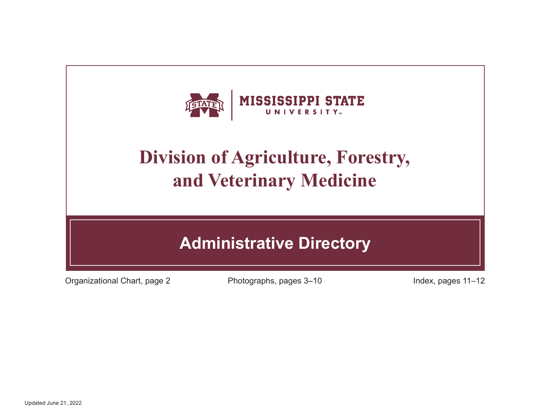

# **Division of Agriculture, Forestry, and Veterinary Medicine**

## **Administrative Directory**

Organizational Chart, page 2 Photographs, pages 3–10 Index, pages 11–12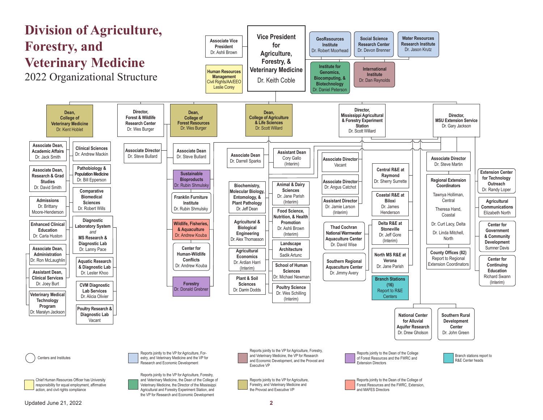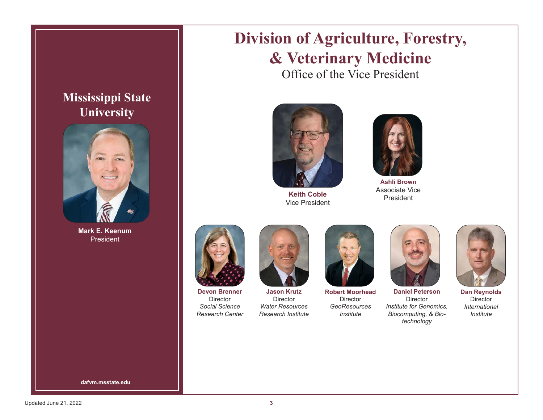#### **Mississippi State University**



**Mark E. Keenum** President

## **Division of Agriculture, Forestry, & Veterinary Medicine**

Office of the Vice President



**Keith Coble** Vice President



**Ashli Brown**  Associate Vice President



**Devon Brenner** Director *Social Science Research Center*



**Jason Krutz** Director *Water Resources Research Institute*



**Robert Moorhead Director** *GeoResources Institute*



Director *Institute for Genomics, Biocomputing, & Biotechnology*

**Dan Reynolds**

**Director** *International Institute*

**dafvm.msstate.edu**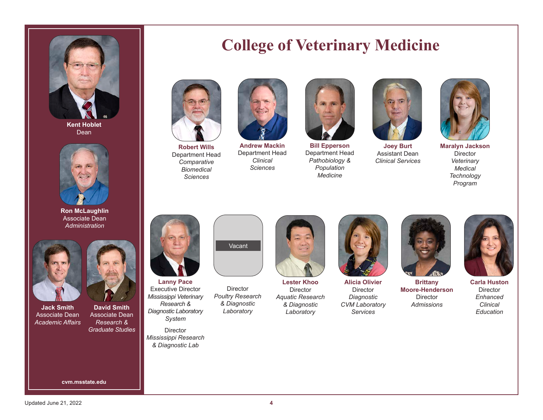

**Kent Hoblet** Dean



**Ron McLaughlin** Associate Dean *Administration*



**Jack Smith** Associate Dean *Academic Affairs*



**David Smith** Associate Dean *Research & Graduate Studies*

**cvm.msstate.edu**

#### **College of Veterinary Medicine**



**Robert Wills** Department Head *Comparative Biomedical Sciences*



**Andrew Mackin** Department Head *Clinical Sciences*



**Bill Epperson** Department Head *Pathobiology & Population Medicine*



**Joey Burt** Assistant Dean *Clinical Services*



**Maralyn Jackson Director** *Veterinary Medical Technology Program*



**Lanny Pace** Executive Director *Mississippi Veterinary Research & Diagnostic Laboratory System*

Director *Mississippi Research & Diagnostic Lab*



**Director** *Poultry Research & Diagnostic Laboratory*



**Lester Khoo Director** *Aquatic Research & Diagnostic Laboratory*



**Alicia Olivier Director** *Diagnostic CVM Laboratory Services*



**Brittany Moore-Henderson Director** *Admissions*



**Carla Huston Director** *Enhanced Clinical Education*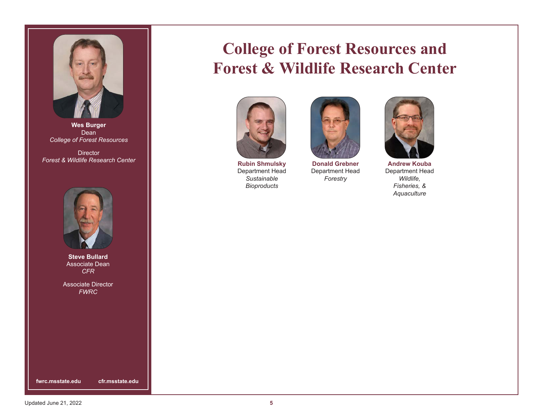

**Wes Burger** Dean *College of Forest Resources*

**Director** *Forest & Wildlife Research Center* 



**Steve Bullard** Associate Dean *CFR*

Associate Director *FWRC*

**fwrc.msstate.edu cfr.msstate.edu**

#### **College of Forest Resources and Forest & Wildlife Research Center**



**Rubin Shmulsky** Department Head *Sustainable Bioproducts*



**Donald Grebner** Department Head *Forestry*



**Andrew Kouba** Department Head *Wildlife, Fisheries, & Aquaculture*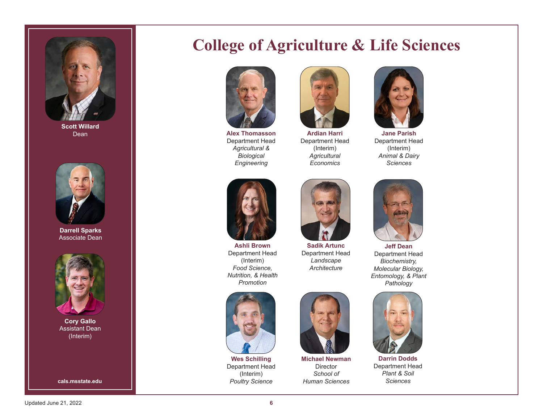

**Scott Willard** Dean



**Darrell Sparks**  Associate Dean



**Cory Gallo** Assistant Dean (Interim)

## **College of Agriculture & Life Sciences**



**Alex Thomasson** Department Head *Agricultural & Biological Engineering*



**Ardian Harri** Department Head (Interim) *Agricultural Economics*



**Jane Parish** Department Head (Interim) *Animal & Dairy Sciences*



**Ashli Brown** Department Head (Interim) *Food Science, Nutrition, & Health Promotion*



**Sadik Artunc** *Landscape Architecture*



**Wes Schilling** Department Head (Interim) *Poultry Science* **cals.msstate.edu** *Sciences*





**Michael Newman** Director *School of Human Sciences*



**Jeff Dean** Department Head *Biochemistry, Molecular Biology, Entomology, & Plant Pathology*



**Darrin Dodds** Department Head *Plant & Soil*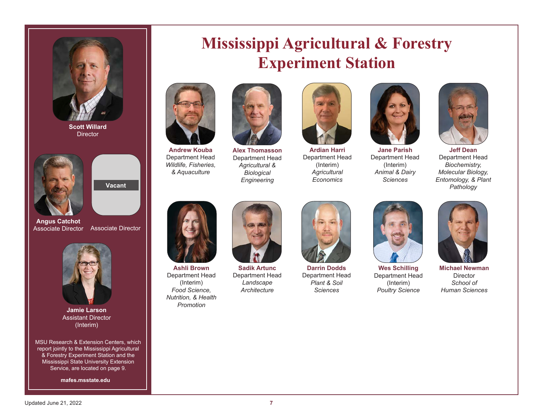

**Scott Willard Director** 



Associate Director

**Angus Catchot**

Associate Director

Vacant **Vacant**



**Jamie Larson** Assistant Director (Interim)

MSU Research & Extension Centers, which report jointly to the Mississippi Agricultural & Forestry Experiment Station and the Mississippi State University Extension Service, are located on page 9.

**mafes.msstate.edu**

#### **Mississippi Agricultural & Forestry Experiment Station**



**Andrew Kouba** Department Head *Wildlife, Fisheries, & Aquaculture*



**Alex Thomasson** Department Head *Agricultural & Biological Engineering*



**Ardian Harri** Department Head (Interim) *Agricultural Economics*



**Jane Parish** Department Head (Interim) *Animal & Dairy Sciences*



**Jeff Dean** Department Head *Biochemistry, Molecular Biology, Entomology, & Plant Pathology*



**Ashli Brown** Department Head (Interim) *Food Science, Nutrition, & Health Promotion*



**Sadik Artunc** Department Head *Landscape Architecture*



**Darrin Dodds** Department Head *Plant & Soil Sciences*



**Wes Schilling** Department Head (Interim) *Poultry Science*



**Michael Newman Director** *School of Human Sciences*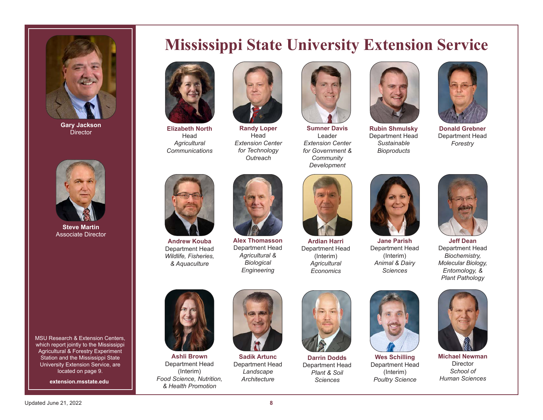

**Gary Jackson Director** 



**Steve Martin** Associate Director

MSU Research & Extension Centers. which report jointly to the Mississippi Agricultural & Forestry Experiment Station and the Mississippi State University Extension Service, are located on page 9.

**extension.msstate.edu**





**Elizabeth North** Head *Agricultural Communications*

**Alex Thomasson** Department Head *Agricultural & Biological Engineering*

**Randy Loper** Head *Extension Center for Technology Outreach*



**Sumner Davis** Leader *Extension Center for Government & Community Development*



**Rubin Shmulsky** Department Head *Sustainable Bioproducts*



**Donald Grebner** Department Head *Forestry*



**Jane Parish** Department Head (Interim) *Animal & Dairy Sciences*



**Jeff Dean** Department Head *Biochemistry, Molecular Biology, Entomology, & Plant Pathology*



**Andrew Kouba** Department Head *Wildlife, Fisheries, & Aquaculture*

**Ashli Brown** Department Head (Interim) *Food Science, Nutrition, & Health Promotion*



**Sadik Artunc** Department Head *Landscape Architecture*



**Ardian Harri** Department Head (Interim) *Agricultural Economics*

**Darrin Dodds** Department Head *Plant & Soil Sciences*



**Wes Schilling** Department Head (Interim) *Poultry Science*



**Michael Newman Director** *School of Human Sciences*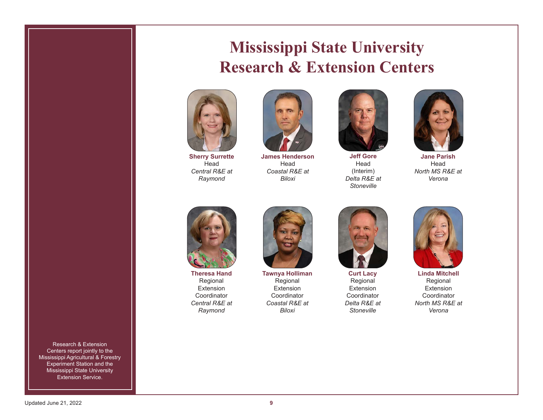#### **Mississippi State University Research & Extension Centers**



**Sherry Surrette** Head *Central R&E at Raymond*



**James Henderson** Head *Coastal R&E at Biloxi*



**Jeff Gore** Head (Interim) *Delta R&E at Stoneville*



**Jane Parish** Head *North MS R&E at Verona*



**Theresa Hand** Regional Extension Coordinator *Central R&E at Raymond*



**Tawnya Holliman** Regional Extension Coordinator *Coastal R&E at Biloxi*



**Curt Lacy** Regional Extension Coordinator *Delta R&E at Stoneville*



**Linda Mitchell** Regional Extension Coordinator *North MS R&E at Verona*

Research & Extension Centers report jointly to the Mississippi Agricultural & Forestry Experiment Station and the **Mississippi State University** Extension Service.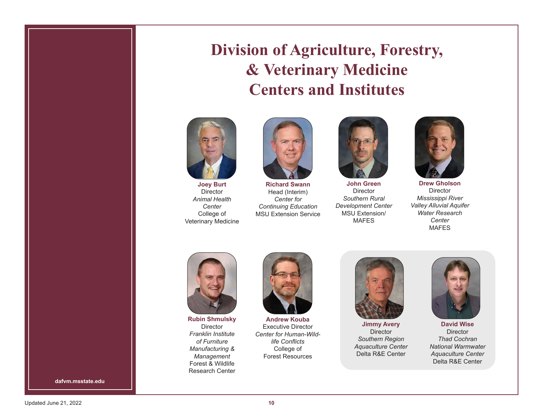## **Division of Agriculture, Forestry, & Veterinary Medicine Centers and Institutes**



**Joey Burt** Director *Animal Health Center* College of Veterinary Medicine



**Richard Swann** Head (Interim) *Center for Continuing Education* MSU Extension Service



**John Green** Director *Southern Rural Development Center* MSU Extension/ MAFES



**Drew Gholson Director** *Mississippi River Valley Alluvial Aquifer Water Research Center* MAFES





**Rubin Shmulsky** Director *Franklin Institute of Furniture Manufacturing & Management* Forest & Wildlife Research Center



**Andrew Kouba** Executive Director *Center for Human-Wildlife Conflicts* College of Forest Resources



**Jimmy Avery** Director *Southern Region Aquaculture Center* Delta R&E Center



**David Wise Director** *Thad Cochran National Warmwater Aquaculture Center* Delta R&E Center

**dafvm.msstate.edu**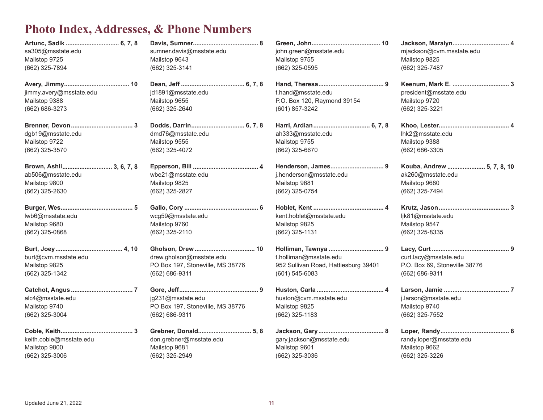#### **Photo Index, Addresses, & Phone Numbers**

| Artunc, Sadik  6, 7, 8  |                                  |                                      |                               |
|-------------------------|----------------------------------|--------------------------------------|-------------------------------|
| sa305@msstate.edu       | sumner.davis@msstate.edu         | john.green@msstate.edu               | mjackson@cvm.msstate.edu      |
| Mailstop 9725           | Mailstop 9643                    | Mailstop 9755                        | Mailstop 9825                 |
| (662) 325-7894          | (662) 325-3141                   | (662) 325-0595                       | (662) 325-7487                |
|                         |                                  |                                      |                               |
| jimmy.avery@msstate.edu | jd1891@msstate.edu               | t.hand@msstate.edu                   | president@msstate.edu         |
| Mailstop 9388           | Mailstop 9655                    | P.O. Box 120, Raymond 39154          | Mailstop 9720                 |
| (662) 686-3273          | (662) 325-2640                   | (601) 857-3242                       | (662) 325-3221                |
|                         |                                  |                                      |                               |
| dgb19@msstate.edu       | dmd76@msstate.edu                | ah333@msstate.edu                    | lhk2@msstate.edu              |
| Mailstop 9722           | Mailstop 9555                    | Mailstop 9755                        | Mailstop 9388                 |
| (662) 325-3570          | (662) 325-4072                   | (662) 325-6670                       | (662) 686-3305                |
| Brown, Ashli 3, 6, 7, 8 |                                  |                                      | Kouba, Andrew  5, 7, 8, 10    |
| ab506@msstate.edu       | wbe21@msstate.edu                | j.henderson@msstate.edu              | ak260@msstate.edu             |
| Mailstop 9800           | Mailstop 9825                    | Mailstop 9681                        | Mailstop 9680                 |
| (662) 325-2630          | (662) 325-2827                   | (662) 325-0754                       | (662) 325-7494                |
|                         |                                  |                                      |                               |
| lwb6@msstate.edu        | wcg59@msstate.edu                | kent.hoblet@msstate.edu              | ljk81@msstate.edu             |
| Mailstop 9680           | Mailstop 9760                    | Mailstop 9825                        | Mailstop 9547                 |
| (662) 325-0868          | (662) 325-2110                   | (662) 325-1131                       | (662) 325-8335                |
|                         |                                  |                                      |                               |
| burt@cvm.msstate.edu    | drew.gholson@msstate.edu         | t.holliman@msstate.edu               | curt.lacy@msstate.edu         |
| Mailstop 9825           | PO Box 197, Stoneville, MS 38776 | 952 Sullivan Road, Hattiesburg 39401 | P.O. Box 69, Stoneville 38776 |
| (662) 325-1342          | (662) 686-9311                   | $(601)$ 545-6083                     | (662) 686-9311                |
|                         |                                  |                                      |                               |
| alc4@msstate.edu        | jg231@msstate.edu                | huston@cvm.msstate.edu               | j.larson@msstate.edu          |
| Mailstop 9740           | PO Box 197, Stoneville, MS 38776 | Mailstop 9825                        | Mailstop 9740                 |
| (662) 325-3004          | (662) 686-9311                   | $(662)$ 325-1183                     | (662) 325-7552                |
|                         |                                  |                                      |                               |
| keith.coble@msstate.edu | don.grebner@msstate.edu          | gary.jackson@msstate.edu             | randy.loper@msstate.edu       |
| Mailstop 9800           | Mailstop 9681                    | Mailstop 9601                        | Mailstop 9662                 |
| (662) 325-3006          | (662) 325-2949                   | (662) 325-3036                       | (662) 325-3226                |